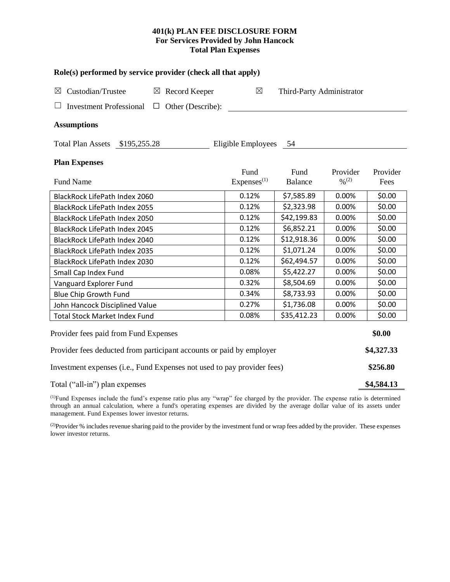## **401(k) PLAN FEE DISCLOSURE FORM For Services Provided by John Hancock Total Plan Expenses**

| Role(s) performed by service provider (check all that apply)            |                                |                           |                         |                  |  |  |  |  |  |
|-------------------------------------------------------------------------|--------------------------------|---------------------------|-------------------------|------------------|--|--|--|--|--|
| Custodian/Trustee<br>$\boxtimes$ Record Keeper<br>$\boxtimes$           | $\boxtimes$                    | Third-Party Administrator |                         |                  |  |  |  |  |  |
| <b>Investment Professional</b><br>Other (Describe):<br>$\Box$           |                                |                           |                         |                  |  |  |  |  |  |
| <b>Assumptions</b>                                                      |                                |                           |                         |                  |  |  |  |  |  |
| Total Plan Assets \$195,255.28                                          | Eligible Employees             | - 54                      |                         |                  |  |  |  |  |  |
| <b>Plan Expenses</b>                                                    |                                |                           |                         |                  |  |  |  |  |  |
| <b>Fund Name</b>                                                        | Fund<br>Express <sup>(1)</sup> | Fund<br><b>Balance</b>    | Provider<br>$0/0^{(2)}$ | Provider<br>Fees |  |  |  |  |  |
| BlackRock LifePath Index 2060                                           | 0.12%                          | \$7,585.89                | 0.00%                   | \$0.00           |  |  |  |  |  |
| BlackRock LifePath Index 2055                                           | 0.12%                          | \$2,323.98                | 0.00%                   | \$0.00           |  |  |  |  |  |
| BlackRock LifePath Index 2050                                           | 0.12%                          | \$42,199.83               | 0.00%                   | \$0.00           |  |  |  |  |  |
| BlackRock LifePath Index 2045                                           | 0.12%                          | \$6,852.21                | 0.00%                   | \$0.00           |  |  |  |  |  |
| BlackRock LifePath Index 2040                                           | 0.12%                          | \$12,918.36               | 0.00%                   | \$0.00           |  |  |  |  |  |
| <b>BlackRock LifePath Index 2035</b>                                    | 0.12%                          | \$1,071.24                | 0.00%                   | \$0.00           |  |  |  |  |  |
| BlackRock LifePath Index 2030                                           | 0.12%                          | \$62,494.57               | 0.00%                   | \$0.00           |  |  |  |  |  |
| Small Cap Index Fund                                                    | 0.08%                          | \$5,422.27                | 0.00%                   | \$0.00           |  |  |  |  |  |
| Vanguard Explorer Fund                                                  | 0.32%                          | \$8,504.69                | 0.00%                   | \$0.00           |  |  |  |  |  |
| Blue Chip Growth Fund                                                   | 0.34%                          | \$8,733.93                | 0.00%                   | \$0.00           |  |  |  |  |  |
| John Hancock Disciplined Value                                          | 0.27%                          | \$1,736.08                | 0.00%                   | \$0.00           |  |  |  |  |  |
| <b>Total Stock Market Index Fund</b>                                    | 0.08%                          | \$35,412.23               | 0.00%                   | \$0.00           |  |  |  |  |  |
| Provider fees paid from Fund Expenses                                   |                                |                           |                         |                  |  |  |  |  |  |
| Provider fees deducted from participant accounts or paid by employer    |                                |                           |                         |                  |  |  |  |  |  |
| Investment expenses (i.e., Fund Expenses not used to pay provider fees) |                                |                           |                         |                  |  |  |  |  |  |
| Total ("all-in") plan expenses                                          |                                |                           |                         |                  |  |  |  |  |  |

(1)Fund Expenses include the fund's expense ratio plus any "wrap" fee charged by the provider. The expense ratio is determined through an annual calculation, where a fund's operating expenses are divided by the average dollar value of its assets under management. Fund Expenses lower investor returns.

<sup>(2)</sup>Provider % includes revenue sharing paid to the provider by the investment fund or wrap fees added by the provider. These expenses lower investor returns.